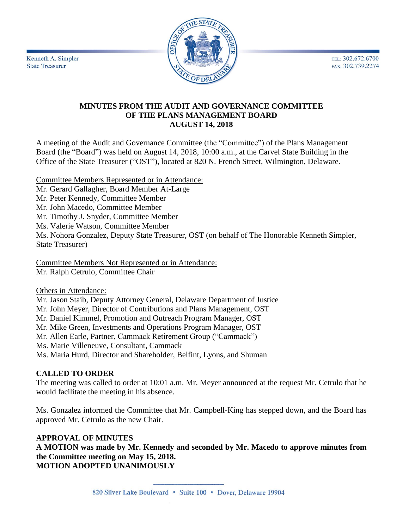TEL: 302.672.6700 FAX: 302.739.2274



Kenneth A. Simpler **State Treasurer** 

### **MINUTES FROM THE AUDIT AND GOVERNANCE COMMITTEE OF THE PLANS MANAGEMENT BOARD AUGUST 14, 2018**

A meeting of the Audit and Governance Committee (the "Committee") of the Plans Management Board (the "Board") was held on August 14, 2018, 10:00 a.m., at the Carvel State Building in the Office of the State Treasurer ("OST"), located at 820 N. French Street, Wilmington, Delaware.

Committee Members Represented or in Attendance: Mr. Gerard Gallagher, Board Member At-Large Mr. Peter Kennedy, Committee Member Mr. John Macedo, Committee Member Mr. Timothy J. Snyder, Committee Member Ms. Valerie Watson, Committee Member Ms. Nohora Gonzalez, Deputy State Treasurer, OST (on behalf of The Honorable Kenneth Simpler, State Treasurer)

Committee Members Not Represented or in Attendance: Mr. Ralph Cetrulo, Committee Chair

Others in Attendance:

Mr. Jason Staib, Deputy Attorney General, Delaware Department of Justice Mr. John Meyer, Director of Contributions and Plans Management, OST Mr. Daniel Kimmel, Promotion and Outreach Program Manager, OST Mr. Mike Green, Investments and Operations Program Manager, OST Mr. Allen Earle, Partner, Cammack Retirement Group ("Cammack") Ms. Marie Villeneuve, Consultant, Cammack Ms. Maria Hurd, Director and Shareholder, Belfint, Lyons, and Shuman

## **CALLED TO ORDER**

The meeting was called to order at 10:01 a.m. Mr. Meyer announced at the request Mr. Cetrulo that he would facilitate the meeting in his absence.

Ms. Gonzalez informed the Committee that Mr. Campbell-King has stepped down, and the Board has approved Mr. Cetrulo as the new Chair.

## **APPROVAL OF MINUTES**

**A MOTION was made by Mr. Kennedy and seconded by Mr. Macedo to approve minutes from the Committee meeting on May 15, 2018. MOTION ADOPTED UNANIMOUSLY**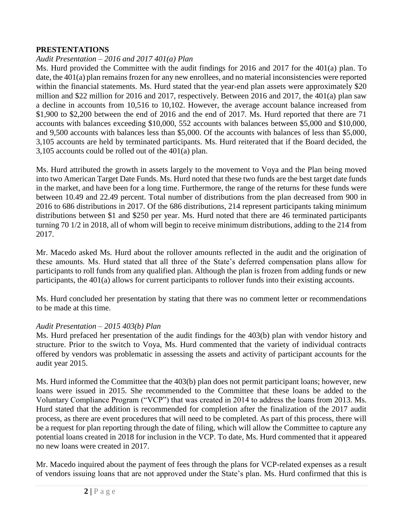### **PRESTENTATIONS**

### *Audit Presentation – 2016 and 2017 401(a) Plan*

Ms. Hurd provided the Committee with the audit findings for 2016 and 2017 for the 401(a) plan. To date, the 401(a) plan remains frozen for any new enrollees, and no material inconsistencies were reported within the financial statements. Ms. Hurd stated that the year-end plan assets were approximately \$20 million and \$22 million for 2016 and 2017, respectively. Between 2016 and 2017, the 401(a) plan saw a decline in accounts from 10,516 to 10,102. However, the average account balance increased from \$1,900 to \$2,200 between the end of 2016 and the end of 2017. Ms. Hurd reported that there are 71 accounts with balances exceeding \$10,000, 552 accounts with balances between \$5,000 and \$10,000, and 9,500 accounts with balances less than \$5,000. Of the accounts with balances of less than \$5,000, 3,105 accounts are held by terminated participants. Ms. Hurd reiterated that if the Board decided, the 3,105 accounts could be rolled out of the 401(a) plan.

Ms. Hurd attributed the growth in assets largely to the movement to Voya and the Plan being moved into two American Target Date Funds. Ms. Hurd noted that these two funds are the best target date funds in the market, and have been for a long time. Furthermore, the range of the returns for these funds were between 10.49 and 22.49 percent. Total number of distributions from the plan decreased from 900 in 2016 to 686 distributions in 2017. Of the 686 distributions, 214 represent participants taking minimum distributions between \$1 and \$250 per year. Ms. Hurd noted that there are 46 terminated participants turning 70 1/2 in 2018, all of whom will begin to receive minimum distributions, adding to the 214 from 2017.

Mr. Macedo asked Ms. Hurd about the rollover amounts reflected in the audit and the origination of these amounts. Ms. Hurd stated that all three of the State's deferred compensation plans allow for participants to roll funds from any qualified plan. Although the plan is frozen from adding funds or new participants, the 401(a) allows for current participants to rollover funds into their existing accounts.

Ms. Hurd concluded her presentation by stating that there was no comment letter or recommendations to be made at this time.

### *Audit Presentation – 2015 403(b) Plan*

Ms. Hurd prefaced her presentation of the audit findings for the 403(b) plan with vendor history and structure. Prior to the switch to Voya, Ms. Hurd commented that the variety of individual contracts offered by vendors was problematic in assessing the assets and activity of participant accounts for the audit year 2015.

Ms. Hurd informed the Committee that the 403(b) plan does not permit participant loans; however, new loans were issued in 2015. She recommended to the Committee that these loans be added to the Voluntary Compliance Program ("VCP") that was created in 2014 to address the loans from 2013. Ms. Hurd stated that the addition is recommended for completion after the finalization of the 2017 audit process, as there are event procedures that will need to be completed. As part of this process, there will be a request for plan reporting through the date of filing, which will allow the Committee to capture any potential loans created in 2018 for inclusion in the VCP. To date, Ms. Hurd commented that it appeared no new loans were created in 2017.

Mr. Macedo inquired about the payment of fees through the plans for VCP-related expenses as a result of vendors issuing loans that are not approved under the State's plan. Ms. Hurd confirmed that this is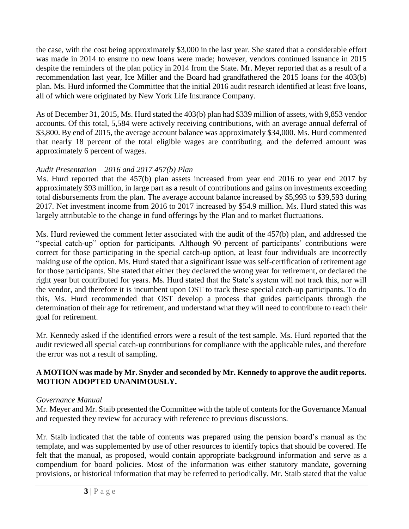the case, with the cost being approximately \$3,000 in the last year. She stated that a considerable effort was made in 2014 to ensure no new loans were made; however, vendors continued issuance in 2015 despite the reminders of the plan policy in 2014 from the State. Mr. Meyer reported that as a result of a recommendation last year, Ice Miller and the Board had grandfathered the 2015 loans for the 403(b) plan. Ms. Hurd informed the Committee that the initial 2016 audit research identified at least five loans, all of which were originated by New York Life Insurance Company.

As of December 31, 2015, Ms. Hurd stated the 403(b) plan had \$339 million of assets, with 9,853 vendor accounts. Of this total, 5,584 were actively receiving contributions, with an average annual deferral of \$3,800. By end of 2015, the average account balance was approximately \$34,000. Ms. Hurd commented that nearly 18 percent of the total eligible wages are contributing, and the deferred amount was approximately 6 percent of wages.

## *Audit Presentation – 2016 and 2017 457(b) Plan*

Ms. Hurd reported that the 457(b) plan assets increased from year end 2016 to year end 2017 by approximately \$93 million, in large part as a result of contributions and gains on investments exceeding total disbursements from the plan. The average account balance increased by \$5,993 to \$39,593 during 2017. Net investment income from 2016 to 2017 increased by \$54.9 million. Ms. Hurd stated this was largely attributable to the change in fund offerings by the Plan and to market fluctuations.

Ms. Hurd reviewed the comment letter associated with the audit of the 457(b) plan, and addressed the "special catch-up" option for participants. Although 90 percent of participants' contributions were correct for those participating in the special catch-up option, at least four individuals are incorrectly making use of the option. Ms. Hurd stated that a significant issue was self-certification of retirement age for those participants. She stated that either they declared the wrong year for retirement, or declared the right year but contributed for years. Ms. Hurd stated that the State's system will not track this, nor will the vendor, and therefore it is incumbent upon OST to track these special catch-up participants. To do this, Ms. Hurd recommended that OST develop a process that guides participants through the determination of their age for retirement, and understand what they will need to contribute to reach their goal for retirement.

Mr. Kennedy asked if the identified errors were a result of the test sample. Ms. Hurd reported that the audit reviewed all special catch-up contributions for compliance with the applicable rules, and therefore the error was not a result of sampling.

### **A MOTION was made by Mr. Snyder and seconded by Mr. Kennedy to approve the audit reports. MOTION ADOPTED UNANIMOUSLY.**

### *Governance Manual*

Mr. Meyer and Mr. Staib presented the Committee with the table of contents for the Governance Manual and requested they review for accuracy with reference to previous discussions.

Mr. Staib indicated that the table of contents was prepared using the pension board's manual as the template, and was supplemented by use of other resources to identify topics that should be covered. He felt that the manual, as proposed, would contain appropriate background information and serve as a compendium for board policies. Most of the information was either statutory mandate, governing provisions, or historical information that may be referred to periodically. Mr. Staib stated that the value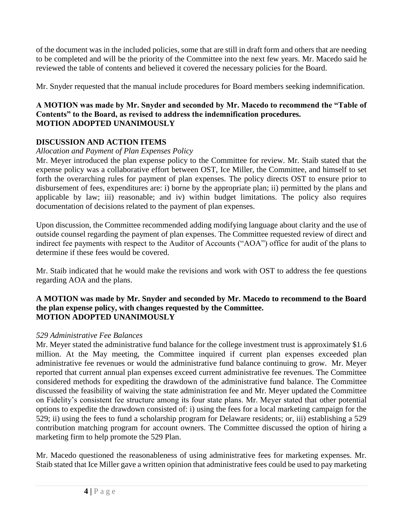of the document was in the included policies, some that are still in draft form and others that are needing to be completed and will be the priority of the Committee into the next few years. Mr. Macedo said he reviewed the table of contents and believed it covered the necessary policies for the Board.

Mr. Snyder requested that the manual include procedures for Board members seeking indemnification.

### **A MOTION was made by Mr. Snyder and seconded by Mr. Macedo to recommend the "Table of Contents" to the Board, as revised to address the indemnification procedures. MOTION ADOPTED UNANIMOUSLY**

# **DISCUSSION AND ACTION ITEMS**

## *Allocation and Payment of Plan Expenses Policy*

Mr. Meyer introduced the plan expense policy to the Committee for review. Mr. Staib stated that the expense policy was a collaborative effort between OST, Ice Miller, the Committee, and himself to set forth the overarching rules for payment of plan expenses. The policy directs OST to ensure prior to disbursement of fees, expenditures are: i) borne by the appropriate plan; ii) permitted by the plans and applicable by law; iii) reasonable; and iv) within budget limitations. The policy also requires documentation of decisions related to the payment of plan expenses.

Upon discussion, the Committee recommended adding modifying language about clarity and the use of outside counsel regarding the payment of plan expenses. The Committee requested review of direct and indirect fee payments with respect to the Auditor of Accounts ("AOA") office for audit of the plans to determine if these fees would be covered.

Mr. Staib indicated that he would make the revisions and work with OST to address the fee questions regarding AOA and the plans.

### **A MOTION was made by Mr. Snyder and seconded by Mr. Macedo to recommend to the Board the plan expense policy, with changes requested by the Committee. MOTION ADOPTED UNANIMOUSLY**

## *529 Administrative Fee Balances*

Mr. Meyer stated the administrative fund balance for the college investment trust is approximately \$1.6 million. At the May meeting, the Committee inquired if current plan expenses exceeded plan administrative fee revenues or would the administrative fund balance continuing to grow. Mr. Meyer reported that current annual plan expenses exceed current administrative fee revenues. The Committee considered methods for expediting the drawdown of the administrative fund balance. The Committee discussed the feasibility of waiving the state administration fee and Mr. Meyer updated the Committee on Fidelity's consistent fee structure among its four state plans. Mr. Meyer stated that other potential options to expedite the drawdown consisted of: i) using the fees for a local marketing campaign for the 529; ii) using the fees to fund a scholarship program for Delaware residents; or, iii) establishing a 529 contribution matching program for account owners. The Committee discussed the option of hiring a marketing firm to help promote the 529 Plan.

Mr. Macedo questioned the reasonableness of using administrative fees for marketing expenses. Mr. Staib stated that Ice Miller gave a written opinion that administrative fees could be used to pay marketing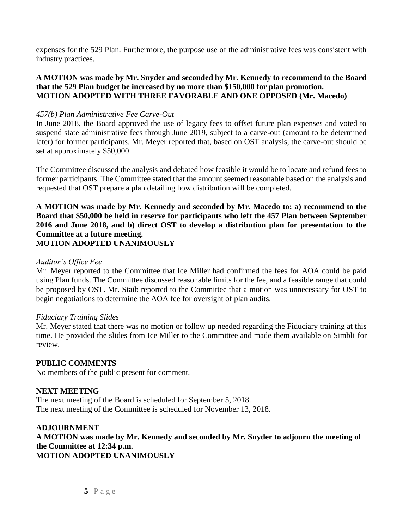expenses for the 529 Plan. Furthermore, the purpose use of the administrative fees was consistent with industry practices.

### **A MOTION was made by Mr. Snyder and seconded by Mr. Kennedy to recommend to the Board that the 529 Plan budget be increased by no more than \$150,000 for plan promotion. MOTION ADOPTED WITH THREE FAVORABLE AND ONE OPPOSED (Mr. Macedo)**

### *457(b) Plan Administrative Fee Carve-Out*

In June 2018, the Board approved the use of legacy fees to offset future plan expenses and voted to suspend state administrative fees through June 2019, subject to a carve-out (amount to be determined later) for former participants. Mr. Meyer reported that, based on OST analysis, the carve-out should be set at approximately \$50,000.

The Committee discussed the analysis and debated how feasible it would be to locate and refund fees to former participants. The Committee stated that the amount seemed reasonable based on the analysis and requested that OST prepare a plan detailing how distribution will be completed.

**A MOTION was made by Mr. Kennedy and seconded by Mr. Macedo to: a) recommend to the Board that \$50,000 be held in reserve for participants who left the 457 Plan between September 2016 and June 2018, and b) direct OST to develop a distribution plan for presentation to the Committee at a future meeting. MOTION ADOPTED UNANIMOUSLY**

### *Auditor's Office Fee*

Mr. Meyer reported to the Committee that Ice Miller had confirmed the fees for AOA could be paid using Plan funds. The Committee discussed reasonable limits for the fee, and a feasible range that could be proposed by OST. Mr. Staib reported to the Committee that a motion was unnecessary for OST to begin negotiations to determine the AOA fee for oversight of plan audits.

#### *Fiduciary Training Slides*

Mr. Meyer stated that there was no motion or follow up needed regarding the Fiduciary training at this time. He provided the slides from Ice Miller to the Committee and made them available on Simbli for review.

### **PUBLIC COMMENTS**

No members of the public present for comment.

### **NEXT MEETING**

The next meeting of the Board is scheduled for September 5, 2018. The next meeting of the Committee is scheduled for November 13, 2018.

# **ADJOURNMENT**

**A MOTION was made by Mr. Kennedy and seconded by Mr. Snyder to adjourn the meeting of the Committee at 12:34 p.m. MOTION ADOPTED UNANIMOUSLY**